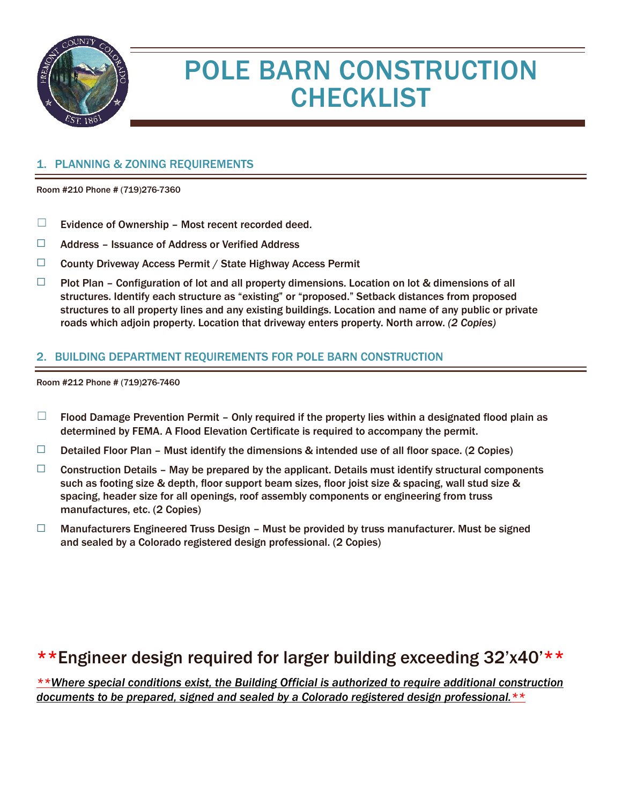

# POLE BARN CONSTRUCTION **CHECKLIST**

#### 1. PLANNING & ZONING REQUIREMENTS

Room #210 Phone # (719)276-7360

- $\Box$  Evidence of Ownership Most recent recorded deed.
- ☐ Address Issuance of Address or Verified Address
- ☐ County Driveway Access Permit / State Highway Access Permit
- $\Box$  Plot Plan Configuration of lot and all property dimensions. Location on lot & dimensions of all structures. Identify each structure as "existing" or "proposed." Setback distances from proposed structures to all property lines and any existing buildings. Location and name of any public or private roads which adjoin property. Location that driveway enters property. North arrow. *(2 Copies)*

#### 2. BUILDING DEPARTMENT REQUIREMENTS FOR POLE BARN CONSTRUCTION

Room #212 Phone # (719)276-7460

- $\Box$  Flood Damage Prevention Permit Only required if the property lies within a designated flood plain as determined by FEMA. A Flood Elevation Certificate is required to accompany the permit.
- $\Box$  Detailed Floor Plan Must identify the dimensions & intended use of all floor space. (2 Copies)
- $\Box$  Construction Details May be prepared by the applicant. Details must identify structural components such as footing size & depth, floor support beam sizes, floor joist size & spacing, wall stud size & spacing, header size for all openings, roof assembly components or engineering from truss manufactures, etc. (2 Copies)
- $\Box$  Manufacturers Engineered Truss Design Must be provided by truss manufacturer. Must be signed and sealed by a Colorado registered design professional. (2 Copies)

### \*\*Engineer design required for larger building exceeding 32'x40'\*\*

*\*\*Where special conditions exist, the Building Official is authorized to require additional construction documents to be prepared, signed and sealed by a Colorado registered design professional.\*\**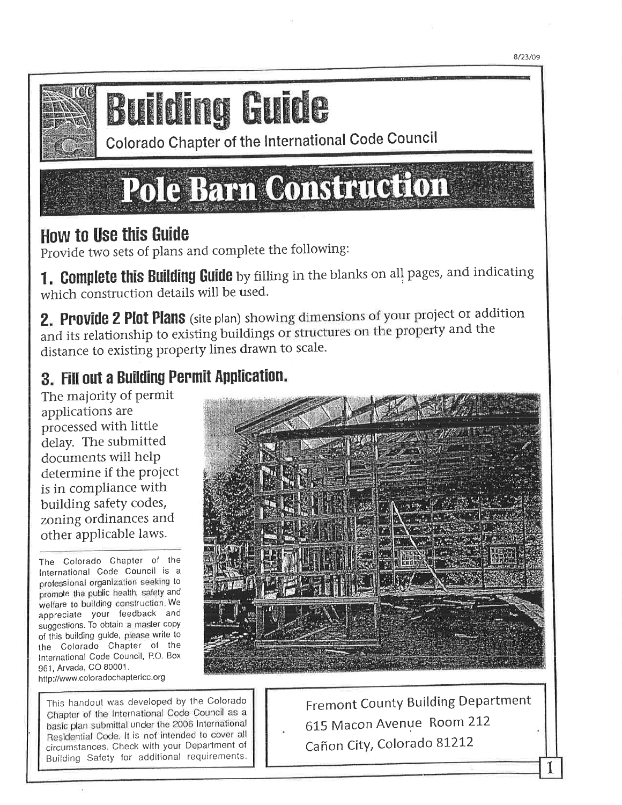

# **Building Guide**

Colorado Chapter of the International Code Council

# Pole Barn Construction

# **How to Use this Guide**

Provide two sets of plans and complete the following:

1. Complete this Building Guide by filling in the blanks on all pages, and indicating which construction details will be used.

2. Provide 2 Plot Plans (site plan) showing dimensions of your project or addition and its relationship to existing buildings or structures on the property and the distance to existing property lines drawn to scale.

# 3. Fill out a Building Permit Application.

The majority of permit applications are processed with little delay. The submitted documents will help determine if the project is in compliance with building safety codes, zoning ordinances and other applicable laws.

The Colorado Chapter of the International Code Council is a professional organization seeking to promote the public health, safety and welfare to building construction. We appreciate your feedback and suggestions. To obtain a master copy of this building guide, please write to the Colorado Chapter of the International Code Council, P.O. Box 961, Arvada, CO 80001. http://www.coloradochaptericc.org

This handout was developed by the Colorado Chapter of the International Code Council as a basic plan submittal under the 2006 International Residential Code. It is not intended to cover all circumstances. Check with your Department of Building Safety for additional requirements.



Fremont County Building Department 615 Macon Avenue Room 212 Cañon City, Colorado 81212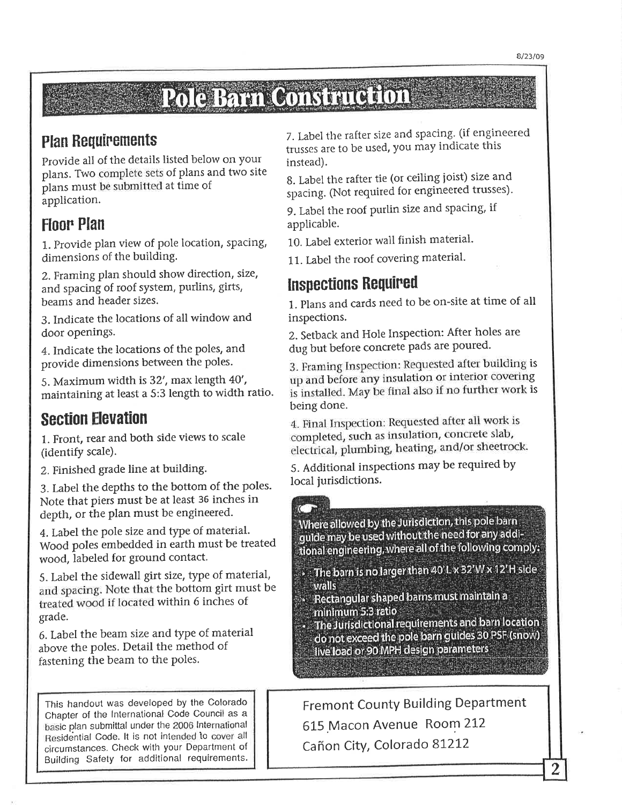# Pole Barn Construction

#### **Plan Requirements**

Provide all of the details listed below on your plans. Two complete sets of plans and two site plans must be submitted at time of application.

## **Floor Plan**

1. Provide plan view of pole location, spacing, dimensions of the building.

2. Framing plan should show direction, size, and spacing of roof system, purlins, girts, beams and header sizes.

3. Indicate the locations of all window and door openings.

4. Indicate the locations of the poles, and provide dimensions between the poles.

5. Maximum width is 32', max length 40', maintaining at least a 5:3 length to width ratio.

## **Section Elevation**

1. Front, rear and both side views to scale (identify scale).

2. Finished grade line at building.

3. Label the depths to the bottom of the poles. Note that piers must be at least 36 inches in depth, or the plan must be engineered.

4. Label the pole size and type of material. Wood poles embedded in earth must be treated wood, labeled for ground contact.

5. Label the sidewall girt size, type of material, and spacing. Note that the bottom girt must be treated wood if located within 6 inches of grade.

6. Label the beam size and type of material above the poles. Detail the method of fastening the beam to the poles.

This handout was developed by the Colorado Chapter of the International Code Council as a basic plan submittal under the 2006 International Residential Code. It is not intended to cover all circumstances. Check with your Department of Building Safety for additional requirements.

7. Label the rafter size and spacing. (if engineered trusses are to be used, you may indicate this instead).

8. Label the rafter tie (or ceiling joist) size and spacing. (Not required for engineered trusses).

9. Label the roof purlin size and spacing, if applicable.

10. Label exterior wall finish material.

11. Label the roof covering material.

### **Inspections Required**

1. Plans and cards need to be on-site at time of all inspections.

2. Setback and Hole Inspection: After holes are dug but before concrete pads are poured.

3. Framing Inspection: Requested after building is up and before any insulation or interior covering is installed. May be final also if no further work is being done.

4. Final Inspection: Requested after all work is completed, such as insulation, concrete slab, electrical, plumbing, heating, and/or sheetrock.

5. Additional inspections may be required by local jurisdictions.

Where allowed by the Jurisdiction, this pole barn guide may be used without the need for any additional engineering, where all of the following comply:

The barn is no larger than 40'L x 32'W x 12'H side walls

» Rectangular shaped barns must maintain a minimum 5:3 ratio

· The Jurisdictional requirements and barn location do not exceed the pole barn guides 30 PSF (snow) live load or 90 MPH design parameters

**Fremont County Building Department** 615 Macon Avenue Room 212 Cañon City, Colorado 81212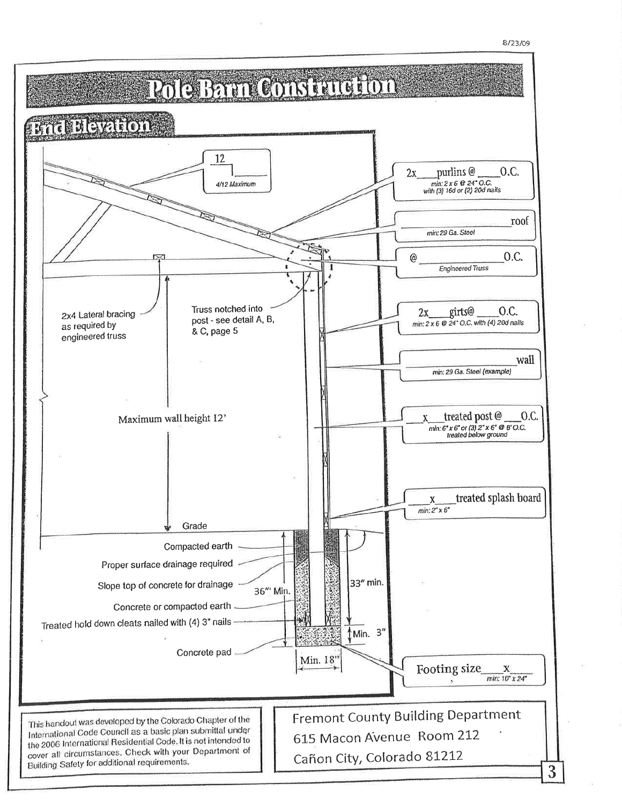

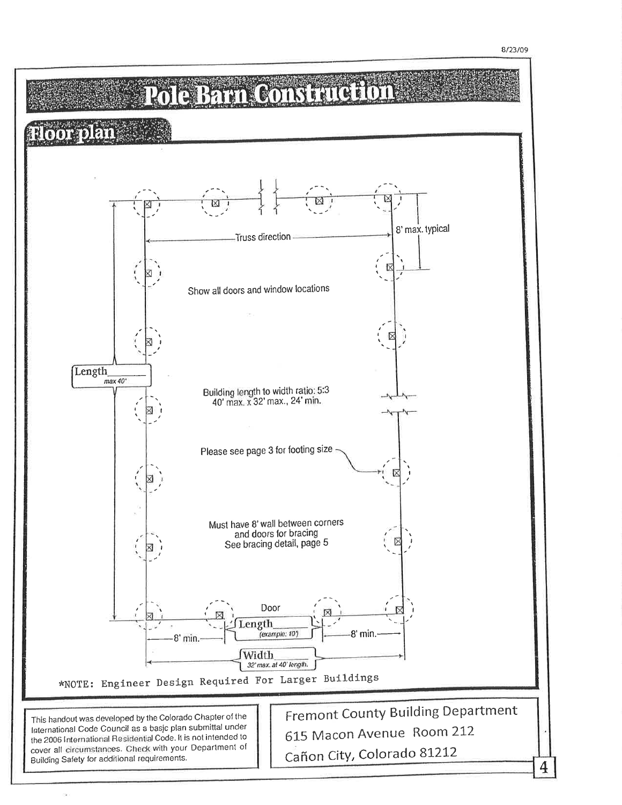